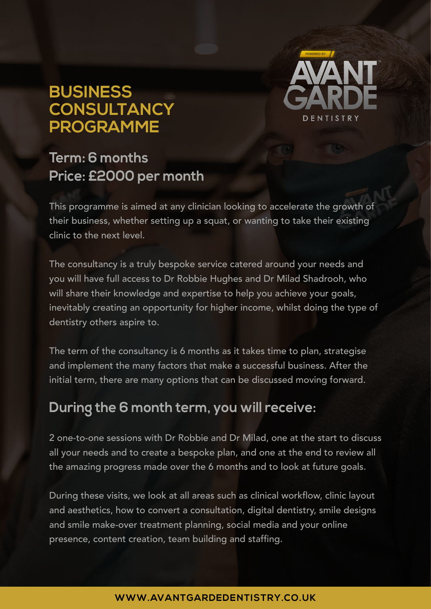## **BUSINESS CONSULTANCY PROGRAMME**



### **Term: 6 months Price: £2000 per month**

This programme is aimed at any clinician looking to accelerate the growth of their business, whether setting up a squat, or wanting to take their existing clinic to the next level.

The consultancy is a truly bespoke service catered around your needs and you will have full access to Dr Robbie Hughes and Dr Milad Shadrooh, who will share their knowledge and expertise to help you achieve your goals, inevitably creating an opportunity for higher income, whilst doing the type of dentistry others aspire to.

The term of the consultancy is 6 months as it takes time to plan, strategise and implement the many factors that make a successful business. After the initial term, there are many options that can be discussed moving forward.

### **During the 6 month term, you will receive:**

2 one-to-one sessions with Dr Robbie and Dr Milad, one at the start to discuss all your needs and to create a bespoke plan, and one at the end to review all the amazing progress made over the 6 months and to look at future goals.

During these visits, we look at all areas such as clinical workflow, clinic layout and aesthetics, how to convert a consultation, digital dentistry, smile designs and smile make-over treatment planning, social media and your online presence, content creation, team building and staffing.

#### **WWW.AVANTGARDEDENTISTRY.C O.UK**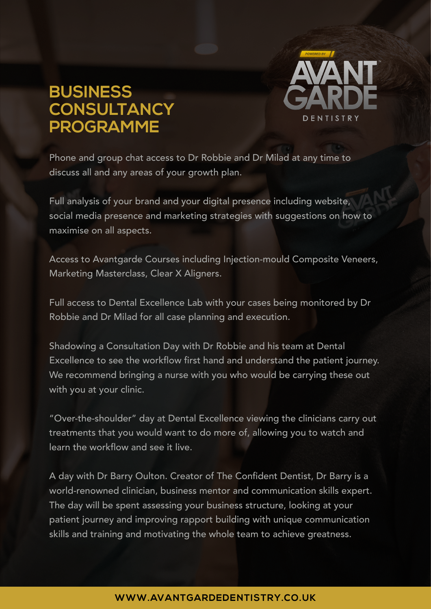# **BUSINESS CONSULTANCY PROGRAMME**



Phone and group chat access to Dr Robbie and Dr Milad at any time to discuss all and any areas of your growth plan.

Full analysis of your brand and your digital presence including website, social media presence and marketing strategies with suggestions on how to maximise on all aspects.

Access to Avantgarde Courses including Injection-mould Composite Veneers, Marketing Masterclass, Clear X Aligners.

Full access to Dental Excellence Lab with your cases being monitored by Dr Robbie and Dr Milad for all case planning and execution.

Shadowing a Consultation Day with Dr Robbie and his team at Dental Excellence to see the workflow first hand and understand the patient journey. We recommend bringing a nurse with you who would be carrying these out with you at your clinic.

"Over-the-shoulder" day at Dental Excellence viewing the clinicians carry out treatments that you would want to do more of, allowing you to watch and learn the workflow and see it live.

A day with Dr Barry Oulton. Creator of The Confident Dentist, Dr Barry is a world-renowned clinician, business mentor and communication skills expert. The day will be spent assessing your business structure, looking at your patient journey and improving rapport building with unique communication skills and training and motivating the whole team to achieve greatness.

#### **WWW.AVANTGARDEDENTISTRY.C O.UK**